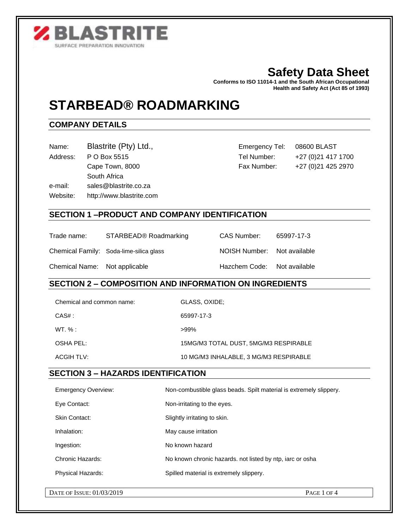

# **Safety Data Sheet**

**Conforms to ISO 11014-1 and the South African Occupational Health and Safety Act (Act 85 of 1993)** 

# **STARBEAD® ROADMARKING**

# **COMPANY DETAILS**

| Name: | Blastrite (Pty) Ltd., |
|-------|-----------------------|
|       |                       |

South Africa

e-mail: sales@blastrite.co.za

Website: http://www.blastrite.com

Emergency Tel: 08600 BLAST Address: P O Box 5515 Tel Number: +27 (0) 21 417 1700 Cape Town, 8000 Fax Number: +27 (0) 21 425 2970

# **SECTION 1 –PRODUCT AND COMPANY IDENTIFICATION**

| Trade name:                   | STARBEAD <sup>®</sup> Roadmarking       | CAS Number:                 | 65997-17-3 |
|-------------------------------|-----------------------------------------|-----------------------------|------------|
|                               | Chemical Family: Soda-lime-silica glass | NOISH Number: Not available |            |
| Chemical Name: Not applicable |                                         | Hazchem Code: Not available |            |

### **SECTION 2 – COMPOSITION AND INFORMATION ON INGREDIENTS**

| Chemical and common name: | GLASS, OXIDE;                          |
|---------------------------|----------------------------------------|
| $CAS#$ :                  | 65997-17-3                             |
| $WT. \%:$                 | $>99\%$                                |
| OSHA PEL:                 | 15MG/M3 TOTAL DUST, 5MG/M3 RESPIRABLE  |
| ACGIH TLV:                | 10 MG/M3 INHALABLE, 3 MG/M3 RESPIRABLE |

### **SECTION 3 – HAZARDS IDENTIFICATION**

| <b>Emergency Overview:</b> | Non-combustible glass beads. Spilt material is extremely slippery. |
|----------------------------|--------------------------------------------------------------------|
| Eye Contact:               | Non-irritating to the eyes.                                        |
| <b>Skin Contact:</b>       | Slightly irritating to skin.                                       |
| Inhalation:                | May cause irritation                                               |
| Ingestion:                 | No known hazard                                                    |
| Chronic Hazards:           | No known chronic hazards, not listed by ntp, iarc or osha          |
| <b>Physical Hazards:</b>   | Spilled material is extremely slippery.                            |
|                            |                                                                    |
| DATE OF ISSUE: 01/03/2019  | PAGE 1 OF 4                                                        |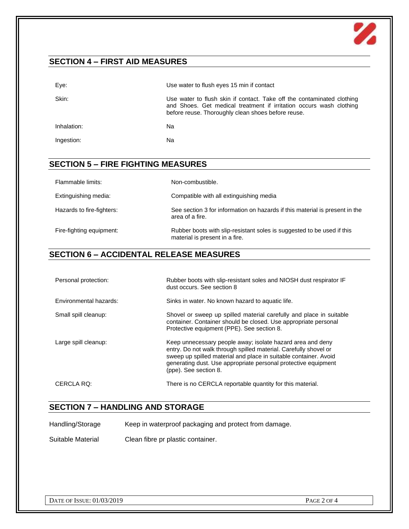

# **SECTION 4 – FIRST AID MEASURES**

| Eye:        | Use water to flush eyes 15 min if contact                                                                                                                                                           |
|-------------|-----------------------------------------------------------------------------------------------------------------------------------------------------------------------------------------------------|
| Skin:       | Use water to flush skin if contact. Take off the contaminated clothing<br>and Shoes. Get medical treatment if irritation occurs wash clothing<br>before reuse. Thoroughly clean shoes before reuse. |
| Inhalation: | Nа                                                                                                                                                                                                  |
| Ingestion:  | Na                                                                                                                                                                                                  |

# **SECTION 5 – FIRE FIGHTING MEASURES**

| Flammable limits:         | Non-combustible.                                                                                         |
|---------------------------|----------------------------------------------------------------------------------------------------------|
| Extinguishing media:      | Compatible with all extinguishing media                                                                  |
| Hazards to fire-fighters: | See section 3 for information on hazards if this material is present in the<br>area of a fire.           |
| Fire-fighting equipment:  | Rubber boots with slip-resistant soles is suggested to be used if this<br>material is present in a fire. |

# **SECTION 6 – ACCIDENTAL RELEASE MEASURES**

| Personal protection:   | Rubber boots with slip-resistant soles and NIOSH dust respirator IF<br>dust occurs. See section 8                                                                                                                                                                                             |
|------------------------|-----------------------------------------------------------------------------------------------------------------------------------------------------------------------------------------------------------------------------------------------------------------------------------------------|
| Environmental hazards: | Sinks in water. No known hazard to aquatic life.                                                                                                                                                                                                                                              |
| Small spill cleanup:   | Shovel or sweep up spilled material carefully and place in suitable<br>container. Container should be closed. Use appropriate personal<br>Protective equipment (PPE). See section 8.                                                                                                          |
| Large spill cleanup:   | Keep unnecessary people away; isolate hazard area and deny<br>entry. Do not walk through spilled material. Carefully shovel or<br>sweep up spilled material and place in suitable container. Avoid<br>generating dust. Use appropriate personal protective equipment<br>(ppe). See section 8. |
| CERCLA RO:             | There is no CERCLA reportable quantity for this material.                                                                                                                                                                                                                                     |

## **SECTION 7 – HANDLING AND STORAGE**

Handling/Storage Keep in waterproof packaging and protect from damage.

Suitable Material Clean fibre pr plastic container.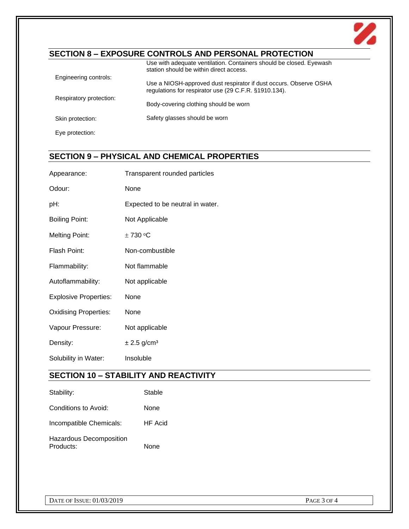

# **SECTION 8 – EXPOSURE CONTROLS AND PERSONAL PROTECTION**

|                         | Use with adequate ventilation. Containers should be closed. Eyewash<br>station should be within direct access.             |
|-------------------------|----------------------------------------------------------------------------------------------------------------------------|
| Engineering controls:   | Use a NIOSH-approved dust respirator if dust occurs. Observe OSHA<br>regulations for respirator use (29 C.F.R. §1910.134). |
| Respiratory protection: | Body-covering clothing should be worn                                                                                      |
| Skin protection:        | Safety glasses should be worn                                                                                              |
| Eve protection:         |                                                                                                                            |

# **SECTION 9 – PHYSICAL AND CHEMICAL PROPERTIES**

| Appearance:                  | Transparent rounded particles                |
|------------------------------|----------------------------------------------|
| Odour:                       | None                                         |
| pH:                          | Expected to be neutral in water.             |
| <b>Boiling Point:</b>        | Not Applicable                               |
| <b>Melting Point:</b>        | ± 730 °C                                     |
| Flash Point:                 | Non-combustible                              |
| Flammability:                | Not flammable                                |
| Autoflammability:            | Not applicable                               |
| <b>Explosive Properties:</b> | None                                         |
| <b>Oxidising Properties:</b> | None                                         |
| Vapour Pressure:             | Not applicable                               |
| Density:                     | $\pm 2.5$ g/cm <sup>3</sup>                  |
| Solubility in Water:         | Insoluble                                    |
|                              | <b>SECTION 10 - STABILITY AND REACTIVITY</b> |

| Stability:                           | Stable         |
|--------------------------------------|----------------|
| Conditions to Avoid:                 | None           |
| Incompatible Chemicals:              | <b>HF</b> Acid |
| Hazardous Decomposition<br>Products: | None           |